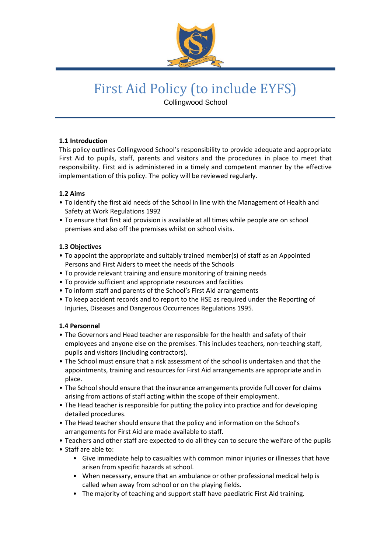

# First Aid Policy (to include EYFS)

Collingwood School

# **1.1 Introduction**

This policy outlines Collingwood School's responsibility to provide adequate and appropriate First Aid to pupils, staff, parents and visitors and the procedures in place to meet that responsibility. First aid is administered in a timely and competent manner by the effective implementation of this policy. The policy will be reviewed regularly.

# **1.2 Aims**

- To identify the first aid needs of the School in line with the Management of Health and Safety at Work Regulations 1992
- To ensure that first aid provision is available at all times while people are on school premises and also off the premises whilst on school visits.

# **1.3 Objectives**

- To appoint the appropriate and suitably trained member(s) of staff as an Appointed Persons and First Aiders to meet the needs of the Schools
- To provide relevant training and ensure monitoring of training needs
- To provide sufficient and appropriate resources and facilities
- To inform staff and parents of the School's First Aid arrangements
- To keep accident records and to report to the HSE as required under the Reporting of Injuries, Diseases and Dangerous Occurrences Regulations 1995.

# **1.4 Personnel**

- The Governors and Head teacher are responsible for the health and safety of their employees and anyone else on the premises. This includes teachers, non-teaching staff, pupils and visitors (including contractors).
- The School must ensure that a risk assessment of the school is undertaken and that the appointments, training and resources for First Aid arrangements are appropriate and in place.
- The School should ensure that the insurance arrangements provide full cover for claims arising from actions of staff acting within the scope of their employment.
- The Head teacher is responsible for putting the policy into practice and for developing detailed procedures.
- The Head teacher should ensure that the policy and information on the School's arrangements for First Aid are made available to staff.
- Teachers and other staff are expected to do all they can to secure the welfare of the pupils
- Staff are able to:
	- Give immediate help to casualties with common minor injuries or illnesses that have arisen from specific hazards at school.
	- When necessary, ensure that an ambulance or other professional medical help is called when away from school or on the playing fields.
	- The majority of teaching and support staff have paediatric First Aid training.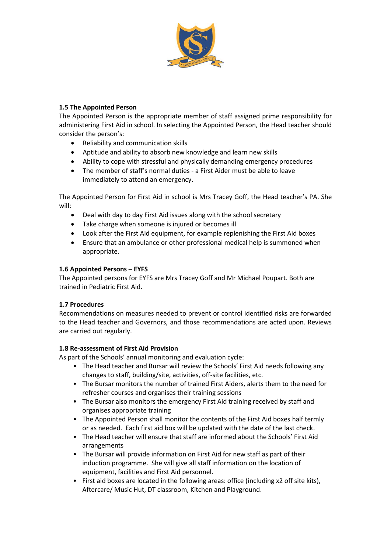

# **1.5 The Appointed Person**

The Appointed Person is the appropriate member of staff assigned prime responsibility for administering First Aid in school. In selecting the Appointed Person, the Head teacher should consider the person's:

- Reliability and communication skills
- Aptitude and ability to absorb new knowledge and learn new skills
- Ability to cope with stressful and physically demanding emergency procedures
- The member of staff's normal duties a First Aider must be able to leave immediately to attend an emergency.

The Appointed Person for First Aid in school is Mrs Tracey Goff, the Head teacher's PA. She will:

- Deal with day to day First Aid issues along with the school secretary
- Take charge when someone is injured or becomes ill
- Look after the First Aid equipment, for example replenishing the First Aid boxes
- Ensure that an ambulance or other professional medical help is summoned when appropriate.

#### **1.6 Appointed Persons – EYFS**

The Appointed persons for EYFS are Mrs Tracey Goff and Mr Michael Poupart. Both are trained in Pediatric First Aid.

# **1.7 Procedures**

Recommendations on measures needed to prevent or control identified risks are forwarded to the Head teacher and Governors, and those recommendations are acted upon. Reviews are carried out regularly.

# **1.8 Re-assessment of First Aid Provision**

As part of the Schools' annual monitoring and evaluation cycle:

- The Head teacher and Bursar will review the Schools' First Aid needs following any changes to staff, building/site, activities, off-site facilities, etc.
- The Bursar monitors the number of trained First Aiders, alerts them to the need for refresher courses and organises their training sessions
- The Bursar also monitors the emergency First Aid training received by staff and organises appropriate training
- The Appointed Person shall monitor the contents of the First Aid boxes half termly or as needed. Each first aid box will be updated with the date of the last check.
- The Head teacher will ensure that staff are informed about the Schools' First Aid arrangements
- The Bursar will provide information on First Aid for new staff as part of their induction programme. She will give all staff information on the location of equipment, facilities and First Aid personnel.
- First aid boxes are located in the following areas: office (including x2 off site kits), Aftercare/ Music Hut, DT classroom, Kitchen and Playground.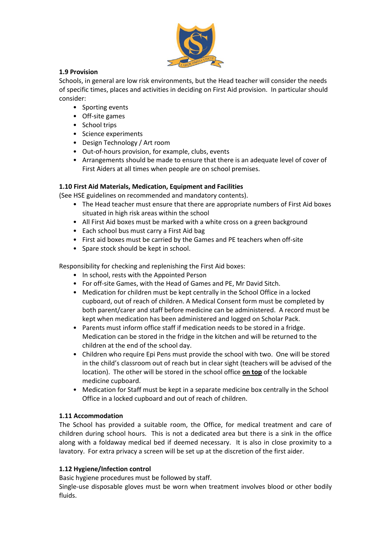

# **1.9 Provision**

Schools, in general are low risk environments, but the Head teacher will consider the needs of specific times, places and activities in deciding on First Aid provision. In particular should consider:

- Sporting events
- Off-site games
- School trips
- Science experiments
- Design Technology / Art room
- Out-of-hours provision, for example, clubs, events
- Arrangements should be made to ensure that there is an adequate level of cover of First Aiders at all times when people are on school premises.

# **1.10 First Aid Materials, Medication, Equipment and Facilities**

(See HSE guidelines on recommended and mandatory contents).

- The Head teacher must ensure that there are appropriate numbers of First Aid boxes situated in high risk areas within the school
- All First Aid boxes must be marked with a white cross on a green background
- Each school bus must carry a First Aid bag
- First aid boxes must be carried by the Games and PE teachers when off-site
- Spare stock should be kept in school.

Responsibility for checking and replenishing the First Aid boxes:

- In school, rests with the Appointed Person
- For off-site Games, with the Head of Games and PE, Mr David Sitch.
- Medication for children must be kept centrally in the School Office in a locked cupboard, out of reach of children. A Medical Consent form must be completed by both parent/carer and staff before medicine can be administered. A record must be kept when medication has been administered and logged on Scholar Pack.
- Parents must inform office staff if medication needs to be stored in a fridge. Medication can be stored in the fridge in the kitchen and will be returned to the children at the end of the school day.
- Children who require Epi Pens must provide the school with two. One will be stored in the child's classroom out of reach but in clear sight (teachers will be advised of the location). The other will be stored in the school office **on top** of the lockable medicine cupboard.
- Medication for Staff must be kept in a separate medicine box centrally in the School Office in a locked cupboard and out of reach of children.

# **1.11 Accommodation**

The School has provided a suitable room, the Office, for medical treatment and care of children during school hours. This is not a dedicated area but there is a sink in the office along with a foldaway medical bed if deemed necessary. It is also in close proximity to a lavatory. For extra privacy a screen will be set up at the discretion of the first aider.

# **1.12 Hygiene/Infection control**

Basic hygiene procedures must be followed by staff.

Single-use disposable gloves must be worn when treatment involves blood or other bodily fluids.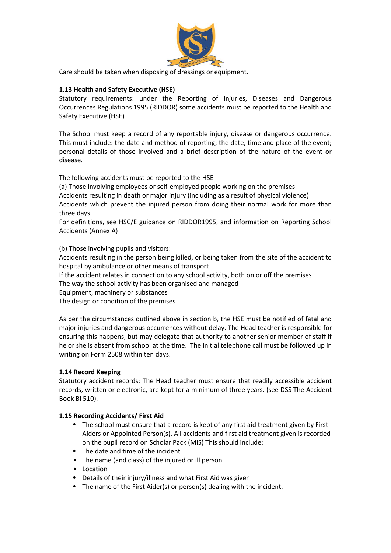

Care should be taken when disposing of dressings or equipment.

# **1.13 Health and Safety Executive (HSE)**

Statutory requirements: under the Reporting of Injuries, Diseases and Dangerous Occurrences Regulations 1995 (RIDDOR) some accidents must be reported to the Health and Safety Executive (HSE)

The School must keep a record of any reportable injury, disease or dangerous occurrence. This must include: the date and method of reporting; the date, time and place of the event; personal details of those involved and a brief description of the nature of the event or disease.

The following accidents must be reported to the HSE

(a) Those involving employees or self-employed people working on the premises:

Accidents resulting in death or major injury (including as a result of physical violence)

Accidents which prevent the injured person from doing their normal work for more than three days

For definitions, see HSC/E guidance on RIDDOR1995, and information on Reporting School Accidents (Annex A)

(b) Those involving pupils and visitors:

Accidents resulting in the person being killed, or being taken from the site of the accident to hospital by ambulance or other means of transport

If the accident relates in connection to any school activity, both on or off the premises

The way the school activity has been organised and managed

Equipment, machinery or substances

The design or condition of the premises

As per the circumstances outlined above in section b, the HSE must be notified of fatal and major injuries and dangerous occurrences without delay. The Head teacher is responsible for ensuring this happens, but may delegate that authority to another senior member of staff if he or she is absent from school at the time. The initial telephone call must be followed up in writing on Form 2508 within ten days.

# **1.14 Record Keeping**

Statutory accident records: The Head teacher must ensure that readily accessible accident records, written or electronic, are kept for a minimum of three years. (see DSS The Accident Book BI 510).

#### **1.15 Recording Accidents/ First Aid**

- The school must ensure that a record is kept of any first aid treatment given by First Aiders or Appointed Person(s). All accidents and first aid treatment given is recorded on the pupil record on Scholar Pack (MIS) This should include:
- The date and time of the incident
- The name (and class) of the injured or ill person
- Location
- Details of their injury/illness and what First Aid was given
- The name of the First Aider(s) or person(s) dealing with the incident.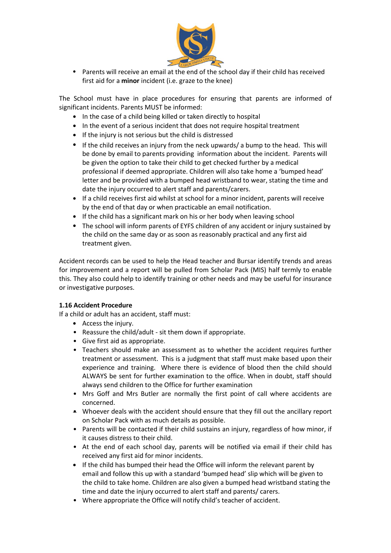

• Parents will receive an email at the end of the school day if their child has received first aid for a **minor** incident (i.e. graze to the knee)

The School must have in place procedures for ensuring that parents are informed of significant incidents. Parents MUST be informed:

- In the case of a child being killed or taken directly to hospital
- In the event of a serious incident that does not require hospital treatment
- If the injury is not serious but the child is distressed
- If the child receives an injury from the neck upwards/ a bump to the head. This will be done by email to parents providing information about the incident. Parents will be given the option to take their child to get checked further by a medical professional if deemed appropriate. Children will also take home a 'bumped head' letter and be provided with a bumped head wristband to wear, stating the time and date the injury occurred to alert staff and parents/carers.
- If a child receives first aid whilst at school for a minor incident, parents will receive by the end of that day or when practicable an email notification.
- If the child has a significant mark on his or her body when leaving school
- The school will inform parents of EYFS children of any accident or injury sustained by the child on the same day or as soon as reasonably practical and any first aid treatment given.

Accident records can be used to help the Head teacher and Bursar identify trends and areas for improvement and a report will be pulled from Scholar Pack (MIS) half termly to enable this. They also could help to identify training or other needs and may be useful for insurance or investigative purposes.

#### **1.16 Accident Procedure**

If a child or adult has an accident, staff must:

- Access the injury.
- Reassure the child/adult sit them down if appropriate.
- Give first aid as appropriate.
- Teachers should make an assessment as to whether the accident requires further treatment or assessment. This is a judgment that staff must make based upon their experience and training. Where there is evidence of blood then the child should ALWAYS be sent for further examination to the office. When in doubt, staff should always send children to the Office for further examination
- Mrs Goff and Mrs Butler are normally the first point of call where accidents are concerned.
- Whoever deals with the accident should ensure that they fill out the ancillary report on Scholar Pack with as much details as possible.
- Parents will be contacted if their child sustains an injury, regardless of how minor, if it causes distress to their child.
- At the end of each school day, parents will be notified via email if their child has received any first aid for minor incidents.
- If the child has bumped their head the Office will inform the relevant parent by email and follow this up with a standard 'bumped head' slip which will be given to the child to take home. Children are also given a bumped head wristband stating the time and date the injury occurred to alert staff and parents/ carers.
- Where appropriate the Office will notify child's teacher of accident.